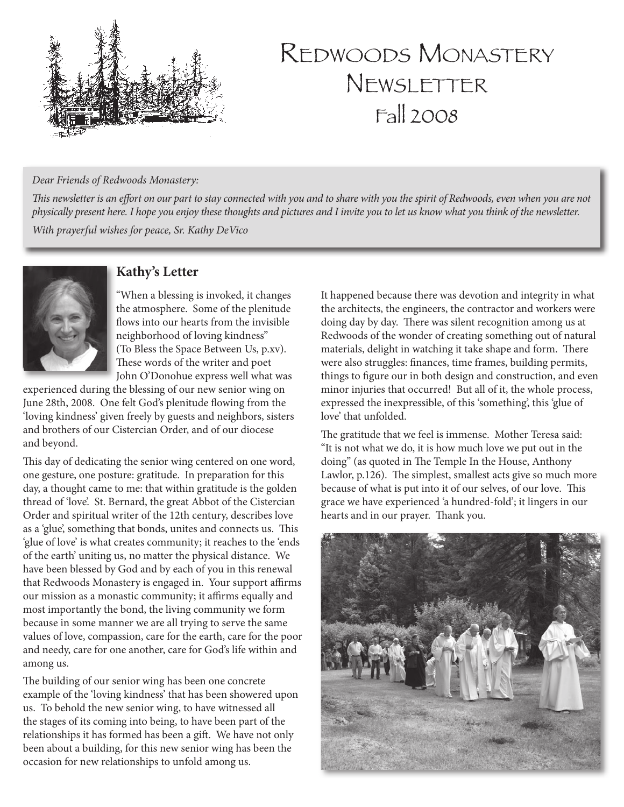

# REDWOODS MONASTERY NEWSLETTER Fall 2008

#### *Dear Friends of Redwoods Monastery:*

*This newsletter is an effort on our part to stay connected with you and to share with you the spirit of Redwoods, even when you are not physically present here. I hope you enjoy these thoughts and pictures and I invite you to let us know what you think of the newsletter.*

*With prayerful wishes for peace, Sr. Kathy DeVico*



### **Kathy's Letter**

"When a blessing is invoked, it changes the atmosphere. Some of the plenitude flows into our hearts from the invisible neighborhood of loving kindness" (To Bless the Space Between Us, p.xv). These words of the writer and poet John O'Donohue express well what was

experienced during the blessing of our new senior wing on June 28th, 2008. One felt God's plenitude flowing from the 'loving kindness' given freely by guests and neighbors, sisters and brothers of our Cistercian Order, and of our diocese and beyond.

This day of dedicating the senior wing centered on one word, one gesture, one posture: gratitude. In preparation for this day, a thought came to me: that within gratitude is the golden thread of 'love'. St. Bernard, the great Abbot of the Cistercian Order and spiritual writer of the 12th century, describes love as a 'glue', something that bonds, unites and connects us. This 'glue of love' is what creates community; it reaches to the 'ends of the earth' uniting us, no matter the physical distance. We have been blessed by God and by each of you in this renewal that Redwoods Monastery is engaged in. Your support affirms our mission as a monastic community; it affirms equally and most importantly the bond, the living community we form because in some manner we are all trying to serve the same values of love, compassion, care for the earth, care for the poor and needy, care for one another, care for God's life within and among us.

The building of our senior wing has been one concrete example of the 'loving kindness' that has been showered upon us. To behold the new senior wing, to have witnessed all the stages of its coming into being, to have been part of the relationships it has formed has been a gift. We have not only been about a building, for this new senior wing has been the occasion for new relationships to unfold among us.

It happened because there was devotion and integrity in what the architects, the engineers, the contractor and workers were doing day by day. There was silent recognition among us at Redwoods of the wonder of creating something out of natural materials, delight in watching it take shape and form. There were also struggles: finances, time frames, building permits, things to figure our in both design and construction, and even minor injuries that occurred! But all of it, the whole process, expressed the inexpressible, of this 'something', this 'glue of love' that unfolded.

The gratitude that we feel is immense. Mother Teresa said: "It is not what we do, it is how much love we put out in the doing" (as quoted in The Temple In the House, Anthony Lawlor, p.126). The simplest, smallest acts give so much more because of what is put into it of our selves, of our love. This grace we have experienced 'a hundred-fold'; it lingers in our hearts and in our prayer. Thank you.

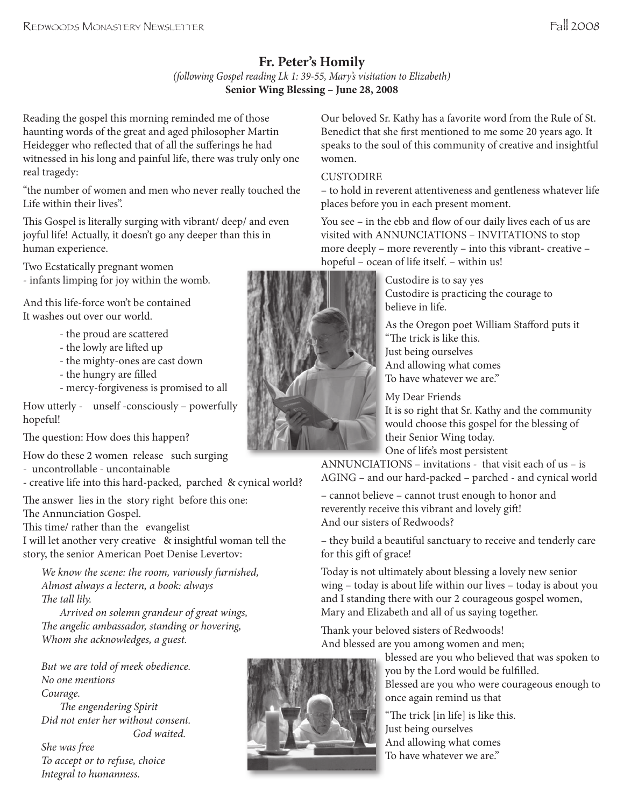## **Fr. Peter's Homily**

*(following Gospel reading Lk 1: 39-55, Mary's visitation to Elizabeth)* **Senior Wing Blessing – June 28, 2008**

Reading the gospel this morning reminded me of those haunting words of the great and aged philosopher Martin Heidegger who reflected that of all the sufferings he had witnessed in his long and painful life, there was truly only one real tragedy:

"the number of women and men who never really touched the Life within their lives".

This Gospel is literally surging with vibrant/ deep/ and even joyful life! Actually, it doesn't go any deeper than this in human experience.

Two Ecstatically pregnant women - infants limping for joy within the womb.

And this life-force won't be contained It washes out over our world.

- the proud are scattered
- the lowly are lifted up
- the mighty-ones are cast down
- the hungry are filled
- mercy-forgiveness is promised to all

How utterly - unself -consciously – powerfully hopeful!

The question: How does this happen?

How do these 2 women release such surging - uncontrollable - uncontainable

- creative life into this hard-packed, parched & cynical world?

The answer lies in the story right before this one: The Annunciation Gospel.

This time/ rather than the evangelist

I will let another very creative & insightful woman tell the story, the senior American Poet Denise Levertov:

*We know the scene: the room, variously furnished, Almost always a lectern, a book: always The tall lily.* 

 *Arrived on solemn grandeur of great wings, e angelic ambassador, standing or hovering, Whom she acknowledges, a guest.*

*But we are told of meek obedience. No one mentions Courage. The engendering Spirit Did not enter her without consent. God waited. She was free*

*To accept or to refuse, choice Integral to humanness.*



Our beloved Sr. Kathy has a favorite word from the Rule of St. Benedict that she first mentioned to me some 20 years ago. It speaks to the soul of this community of creative and insightful women.

#### **CUSTODIRE**

– to hold in reverent attentiveness and gentleness whatever life places before you in each present moment.

You see – in the ebb and flow of our daily lives each of us are visited with ANNUNCIATIONS – INVITATIONS to stop more deeply – more reverently – into this vibrant- creative – hopeful – ocean of life itself. – within us!

> Custodire is to say yes Custodire is practicing the courage to believe in life.

As the Oregon poet William Stafford puts it "The trick is like this.

Just being ourselves And allowing what comes To have whatever we are."

My Dear Friends

It is so right that Sr. Kathy and the community would choose this gospel for the blessing of their Senior Wing today. One of life's most persistent

ANNUNCIATIONS – invitations - that visit each of us – is AGING – and our hard-packed – parched - and cynical world

– cannot believe – cannot trust enough to honor and reverently receive this vibrant and lovely gift! And our sisters of Redwoods?

– they build a beautiful sanctuary to receive and tenderly care for this gift of grace!

Today is not ultimately about blessing a lovely new senior wing – today is about life within our lives – today is about you and I standing there with our 2 courageous gospel women, Mary and Elizabeth and all of us saying together.

Thank your beloved sisters of Redwoods! And blessed are you among women and men;

blessed are you who believed that was spoken to you by the Lord would be fulfilled. Blessed are you who were courageous enough to once again remind us that

"The trick  $\lceil$  in life] is like this. Just being ourselves And allowing what comes To have whatever we are."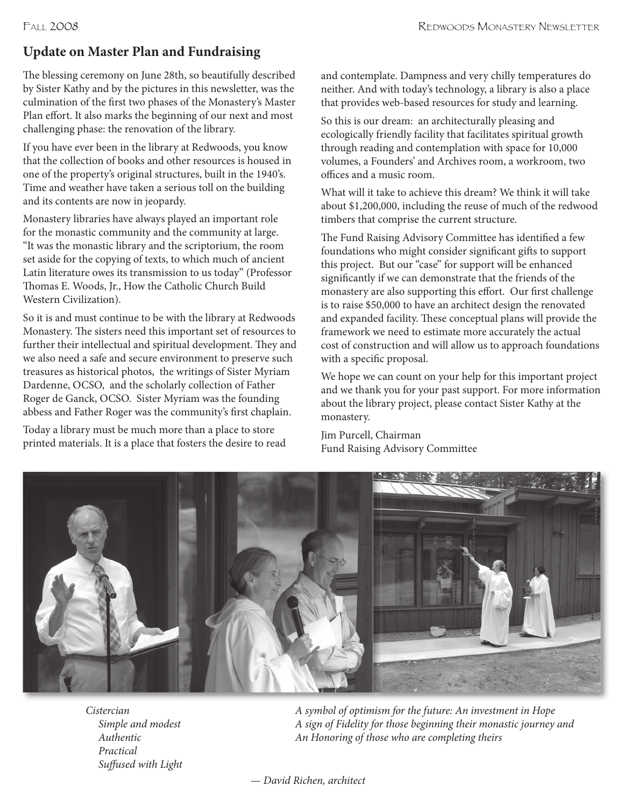## **Update on Master Plan and Fundraising**

The blessing ceremony on June 28th, so beautifully described by Sister Kathy and by the pictures in this newsletter, was the culmination of the first two phases of the Monastery's Master Plan effort. It also marks the beginning of our next and most challenging phase: the renovation of the library.

If you have ever been in the library at Redwoods, you know that the collection of books and other resources is housed in one of the property's original structures, built in the 1940's. Time and weather have taken a serious toll on the building and its contents are now in jeopardy.

Monastery libraries have always played an important role for the monastic community and the community at large. "It was the monastic library and the scriptorium, the room set aside for the copying of texts, to which much of ancient Latin literature owes its transmission to us today" (Professor Thomas E. Woods, Jr., How the Catholic Church Build Western Civilization).

So it is and must continue to be with the library at Redwoods Monastery. The sisters need this important set of resources to further their intellectual and spiritual development. They and we also need a safe and secure environment to preserve such treasures as historical photos, the writings of Sister Myriam Dardenne, OCSO, and the scholarly collection of Father Roger de Ganck, OCSO. Sister Myriam was the founding abbess and Father Roger was the community's first chaplain.

Today a library must be much more than a place to store printed materials. It is a place that fosters the desire to read and contemplate. Dampness and very chilly temperatures do neither. And with today's technology, a library is also a place that provides web-based resources for study and learning.

So this is our dream: an architecturally pleasing and ecologically friendly facility that facilitates spiritual growth through reading and contemplation with space for 10,000 volumes, a Founders' and Archives room, a workroom, two offices and a music room.

What will it take to achieve this dream? We think it will take about \$1,200,000, including the reuse of much of the redwood timbers that comprise the current structure.

The Fund Raising Advisory Committee has identified a few foundations who might consider significant gifts to support this project. But our "case" for support will be enhanced significantly if we can demonstrate that the friends of the monastery are also supporting this effort. Our first challenge is to raise \$50,000 to have an architect design the renovated and expanded facility. These conceptual plans will provide the framework we need to estimate more accurately the actual cost of construction and will allow us to approach foundations with a specific proposal.

We hope we can count on your help for this important project and we thank you for your past support. For more information about the library project, please contact Sister Kathy at the monastery.

Jim Purcell, Chairman Fund Raising Advisory Committee



*Cistercian Simple and modest Authentic Practical Suffused with Light* 

*A symbol of optimism for the future: An investment in Hope A sign of Fidelity for those beginning their monastic journey and An Honoring of those who are completing theirs*

*— David Richen, architect*